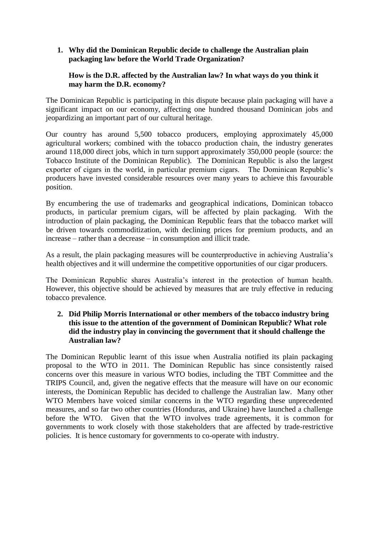## **1. Why did the Dominican Republic decide to challenge the Australian plain packaging law before the World Trade Organization?**

## **How is the D.R. affected by the Australian law? In what ways do you think it may harm the D.R. economy?**

The Dominican Republic is participating in this dispute because plain packaging will have a significant impact on our economy, affecting one hundred thousand Dominican jobs and jeopardizing an important part of our cultural heritage.

Our country has around 5,500 tobacco producers, employing approximately 45,000 agricultural workers; combined with the tobacco production chain, the industry generates around 118,000 direct jobs, which in turn support approximately 350,000 people (source: the Tobacco Institute of the Dominican Republic). The Dominican Republic is also the largest exporter of cigars in the world, in particular premium cigars. The Dominican Republic's producers have invested considerable resources over many years to achieve this favourable position.

By encumbering the use of trademarks and geographical indications, Dominican tobacco products, in particular premium cigars, will be affected by plain packaging. With the introduction of plain packaging, the Dominican Republic fears that the tobacco market will be driven towards commoditization, with declining prices for premium products, and an increase – rather than a decrease – in consumption and illicit trade.

As a result, the plain packaging measures will be counterproductive in achieving Australia's health objectives and it will undermine the competitive opportunities of our cigar producers.

The Dominican Republic shares Australia's interest in the protection of human health. However, this objective should be achieved by measures that are truly effective in reducing tobacco prevalence.

## **2. Did Philip Morris International or other members of the tobacco industry bring this issue to the attention of the government of Dominican Republic? What role did the industry play in convincing the government that it should challenge the Australian law?**

The Dominican Republic learnt of this issue when Australia notified its plain packaging proposal to the WTO in 2011. The Dominican Republic has since consistently raised concerns over this measure in various WTO bodies, including the TBT Committee and the TRIPS Council, and, given the negative effects that the measure will have on our economic interests, the Dominican Republic has decided to challenge the Australian law. Many other WTO Members have voiced similar concerns in the WTO regarding these unprecedented measures, and so far two other countries (Honduras, and Ukraine) have launched a challenge before the WTO. Given that the WTO involves trade agreements, it is common for governments to work closely with those stakeholders that are affected by trade-restrictive policies. It is hence customary for governments to co-operate with industry.